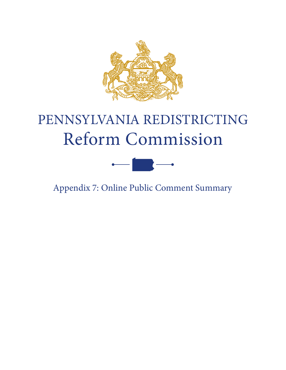

# PENNSYLVANIA REDISTRICTING Reform Commission



Appendix 7: Online Public Comment Summary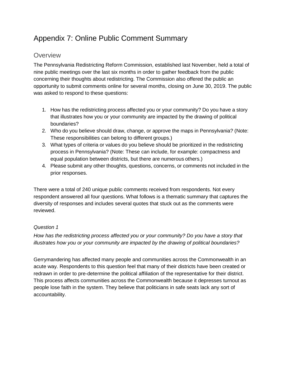# Appendix 7: Online Public Comment Summary

# **Overview**

The Pennsylvania Redistricting Reform Commission, established last November, held a total of nine public meetings over the last six months in order to gather feedback from the public concerning their thoughts about redistricting. The Commission also offered the public an opportunity to submit comments online for several months, closing on June 30, 2019. The public was asked to respond to these questions:

- 1. How has the redistricting process affected you or your community? Do you have a story that illustrates how you or your community are impacted by the drawing of political boundaries?
- 2. Who do you believe should draw, change, or approve the maps in Pennsylvania? (Note: These responsibilities can belong to different groups.)
- 3. What types of criteria or values do you believe should be prioritized in the redistricting process in Pennsylvania? (Note: These can include, for example: compactness and equal population between districts, but there are numerous others.)
- 4. Please submit any other thoughts, questions, concerns, or comments not included in the prior responses.

There were a total of 240 unique public comments received from respondents. Not every respondent answered all four questions. What follows is a thematic summary that captures the diversity of responses and includes several quotes that stuck out as the comments were reviewed.

## *Question 1*

*How has the redistricting process affected you or your community? Do you have a story that illustrates how you or your community are impacted by the drawing of political boundaries?*

Gerrymandering has affected many people and communities across the Commonwealth in an acute way. Respondents to this question feel that many of their districts have been created or redrawn in order to pre-determine the political affiliation of the representative for their district. This process affects communities across the Commonwealth because it depresses turnout as people lose faith in the system. They believe that politicians in safe seats lack any sort of accountability.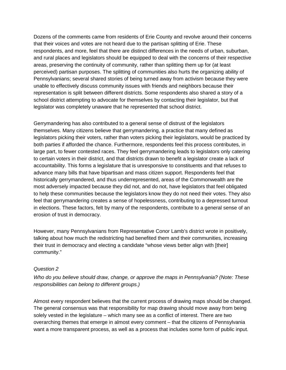Dozens of the comments came from residents of Erie County and revolve around their concerns that their voices and votes are not heard due to the partisan splitting of Erie. These respondents, and more, feel that there are distinct differences in the needs of urban, suburban, and rural places and legislators should be equipped to deal with the concerns of their respective areas, preserving the continuity of community, rather than splitting them up for (at least perceived) partisan purposes. The splitting of communities also hurts the organizing ability of Pennsylvanians; several shared stories of being turned away from activism because they were unable to effectively discuss community issues with friends and neighbors because their representation is split between different districts. Some respondents also shared a story of a school district attempting to advocate for themselves by contacting their legislator, but that legislator was completely unaware that he represented that school district.

Gerrymandering has also contributed to a general sense of distrust of the legislators themselves. Many citizens believe that gerrymandering, a practice that many defined as legislators picking their voters, rather than voters picking their legislators, would be practiced by both parties if afforded the chance. Furthermore, respondents feel this process contributes, in large part, to fewer contested races. They feel gerrymandering leads to legislators only catering to certain voters in their district, and that districts drawn to benefit a legislator create a lack of accountability. This forms a legislature that is unresponsive to constituents and that refuses to advance many bills that have bipartisan and mass citizen support. Respondents feel that historically gerrymandered, and thus underrepresented, areas of the Commonwealth are the most adversely impacted because they did not, and do not, have legislators that feel obligated to help these communities because the legislators know they do not need their votes. They also feel that gerrymandering creates a sense of hopelessness, contributing to a depressed turnout in elections. These factors, felt by many of the respondents, contribute to a general sense of an erosion of trust in democracy.

However, many Pennsylvanians from Representative Conor Lamb's district wrote in positively, talking about how much the redistricting had benefited them and their communities, increasing their trust in democracy and electing a candidate "whose views better align with [their] community."

### *Question 2*

*Who do you believe should draw, change, or approve the maps in Pennsylvania? (Note: These responsibilities can belong to different groups.)*

Almost every respondent believes that the current process of drawing maps should be changed. The general consensus was that responsibility for map drawing should move away from being solely vested in the legislature – which many see as a conflict of interest. There are two overarching themes that emerge in almost every comment – that the citizens of Pennsylvania want a more transparent process, as well as a process that includes some form of public input.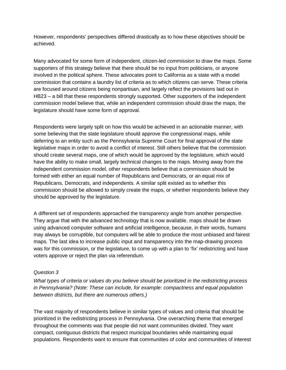However, respondents' perspectives differed drastically as to how these objectives should be achieved.

Many advocated for some form of independent, citizen-led commission to draw the maps. Some supporters of this strategy believe that there should be no input from politicians, or anyone involved in the political sphere. These advocates point to California as a state with a model commission that contains a laundry list of criteria as to which citizens can serve. These criteria are focused around citizens being nonpartisan, and largely reflect the provisions laid out in HB23 – a bill that these respondents strongly supported. Other supporters of the independent commission model believe that, while an independent commission should draw the maps, the legislature should have some form of approval.

Respondents were largely split on how this would be achieved in an actionable manner, with some believing that the state legislature should approve the congressional maps, while deferring to an entity such as the Pennsylvania Supreme Court for final approval of the state legislative maps in order to avoid a conflict of interest. Still others believe that the commission should create several maps, one of which would be approved by the legislature, which would have the ability to make small, largely technical changes to the maps. Moving away from the independent commission model, other respondents believe that a commission should be formed with either an equal number of Republicans and Democrats, or an equal mix of Republicans, Democrats, and independents. A similar split existed as to whether this commission should be allowed to simply create the maps, or whether respondents believe they should be approved by the legislature.

A different set of respondents approached the transparency angle from another perspective. They argue that with the advanced technology that is now available, maps should be drawn using advanced computer software and artificial intelligence, because, in their words, humans may always be corruptible, but computers will be able to produce the most unbiased and fairest maps. The last idea to increase public input and transparency into the map-drawing process was for this commission, or the legislature, to come up with a plan to 'fix' redistricting and have voters approve or reject the plan via referendum.

### *Question 3*

*What types of criteria or values do you believe should be prioritized in the redistricting process in Pennsylvania? (Note: These can include, for example: compactness and equal population between districts, but there are numerous others.)*

The vast majority of respondents believe in similar types of values and criteria that should be prioritized in the redistricting process in Pennsylvania. One overarching theme that emerged throughout the comments was that people did not want communities divided. They want compact, contiguous districts that respect municipal boundaries while maintaining equal populations. Respondents want to ensure that communities of color and communities of interest